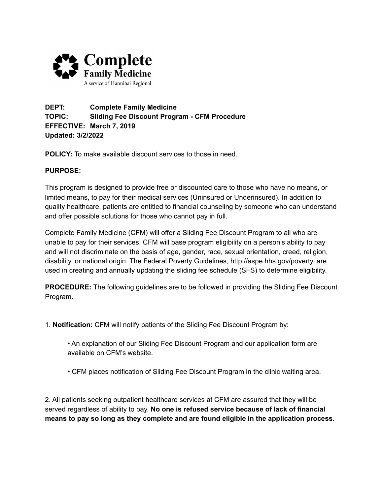

**DEPT: Complete Family Medicine TOPIC: Sliding Fee Discount Program - CFM Procedure EFFECTIVE: March 7, 2019 Updated: 3/2/2022**

**POLICY:** To make available discount services to those in need.

## **PURPOSE:**

This program is designed to provide free or discounted care to those who have no means, or limited means, to pay for their medical services (Uninsured or Underinsured). In addition to quality healthcare, patients are entitled to financial counseling by someone who can understand and offer possible solutions for those who cannot pay in full.

Complete Family Medicine (CFM) will offer a Sliding Fee Discount Program to all who are unable to pay for their services. CFM will base program eligibility on a person's ability to pay and will not discriminate on the basis of age, gender, race, sexual orientation, creed, religion, disability, or national origin. The Federal Poverty Guidelines, http://aspe.hhs.gov/poverty, are used in creating and annually updating the sliding fee schedule (SFS) to determine eligibility.

**PROCEDURE:** The following guidelines are to be followed in providing the Sliding Fee Discount Program.

- 1. **Notification:** CFM will notify patients of the Sliding Fee Discount Program by:
	- An explanation of our Sliding Fee Discount Program and our application form are available on CFM's website.
	- CFM places notification of Sliding Fee Discount Program in the clinic waiting area.

2. All patients seeking outpatient healthcare services at CFM are assured that they will be served regardless of ability to pay. **No one is refused service because of lack of financial means to pay so long as they complete and are found eligible in the application process.**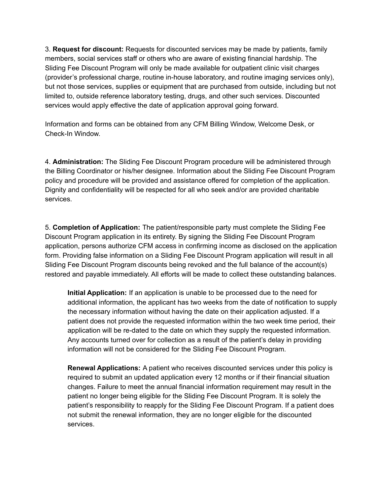3. **Request for discount:** Requests for discounted services may be made by patients, family members, social services staff or others who are aware of existing financial hardship. The Sliding Fee Discount Program will only be made available for outpatient clinic visit charges (provider's professional charge, routine in-house laboratory, and routine imaging services only), but not those services, supplies or equipment that are purchased from outside, including but not limited to, outside reference laboratory testing, drugs, and other such services. Discounted services would apply effective the date of application approval going forward.

Information and forms can be obtained from any CFM Billing Window, Welcome Desk, or Check-In Window.

4. **Administration:** The Sliding Fee Discount Program procedure will be administered through the Billing Coordinator or his/her designee. Information about the Sliding Fee Discount Program policy and procedure will be provided and assistance offered for completion of the application. Dignity and confidentiality will be respected for all who seek and/or are provided charitable services.

5. **Completion of Application:** The patient/responsible party must complete the Sliding Fee Discount Program application in its entirety. By signing the Sliding Fee Discount Program application, persons authorize CFM access in confirming income as disclosed on the application form. Providing false information on a Sliding Fee Discount Program application will result in all Sliding Fee Discount Program discounts being revoked and the full balance of the account(s) restored and payable immediately. All efforts will be made to collect these outstanding balances.

**Initial Application:** If an application is unable to be processed due to the need for additional information, the applicant has two weeks from the date of notification to supply the necessary information without having the date on their application adjusted. If a patient does not provide the requested information within the two week time period, their application will be re-dated to the date on which they supply the requested information. Any accounts turned over for collection as a result of the patient's delay in providing information will not be considered for the Sliding Fee Discount Program.

**Renewal Applications:** A patient who receives discounted services under this policy is required to submit an updated application every 12 months or if their financial situation changes. Failure to meet the annual financial information requirement may result in the patient no longer being eligible for the Sliding Fee Discount Program. It is solely the patient's responsibility to reapply for the Sliding Fee Discount Program. If a patient does not submit the renewal information, they are no longer eligible for the discounted services.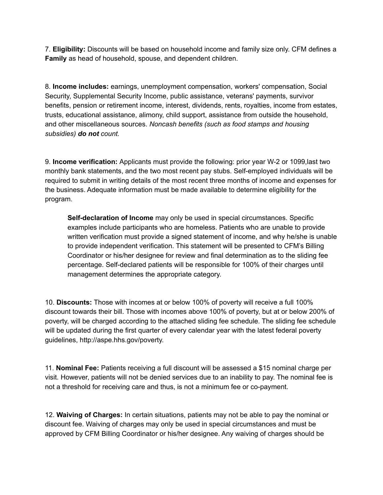7. **Eligibility:** Discounts will be based on household income and family size only. CFM defines a **Family** as head of household, spouse, and dependent children.

8. **Income includes:** earnings, unemployment compensation, workers' compensation, Social Security, Supplemental Security Income, public assistance, veterans' payments, survivor benefits, pension or retirement income, interest, dividends, rents, royalties, income from estates, trusts, educational assistance, alimony, child support, assistance from outside the household, and other miscellaneous sources. *Noncash benefits (such as food stamps and housing subsidies) do not count.*

9. **Income verification:** Applicants must provide the following: prior year W-2 or 1099,last two monthly bank statements, and the two most recent pay stubs. Self-employed individuals will be required to submit in writing details of the most recent three months of income and expenses for the business. Adequate information must be made available to determine eligibility for the program.

**Self-declaration of Income** may only be used in special circumstances. Specific examples include participants who are homeless. Patients who are unable to provide written verification must provide a signed statement of income, and why he/she is unable to provide independent verification. This statement will be presented to CFM's Billing Coordinator or his/her designee for review and final determination as to the sliding fee percentage. Self-declared patients will be responsible for 100% of their charges until management determines the appropriate category.

10. **Discounts:** Those with incomes at or below 100% of poverty will receive a full 100% discount towards their bill. Those with incomes above 100% of poverty, but at or below 200% of poverty, will be charged according to the attached sliding fee schedule. The sliding fee schedule will be updated during the first quarter of every calendar year with the latest federal poverty guidelines, http://aspe.hhs.gov/poverty.

11. **Nominal Fee:** Patients receiving a full discount will be assessed a \$15 nominal charge per visit. However, patients will not be denied services due to an inability to pay. The nominal fee is not a threshold for receiving care and thus, is not a minimum fee or co-payment.

12. **Waiving of Charges:** In certain situations, patients may not be able to pay the nominal or discount fee. Waiving of charges may only be used in special circumstances and must be approved by CFM Billing Coordinator or his/her designee. Any waiving of charges should be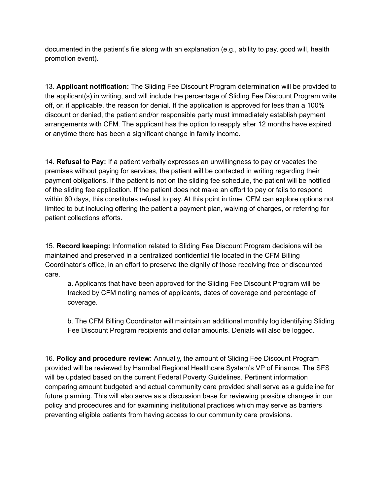documented in the patient's file along with an explanation (e.g., ability to pay, good will, health promotion event).

13. **Applicant notification:** The Sliding Fee Discount Program determination will be provided to the applicant(s) in writing, and will include the percentage of Sliding Fee Discount Program write off, or, if applicable, the reason for denial. If the application is approved for less than a 100% discount or denied, the patient and/or responsible party must immediately establish payment arrangements with CFM. The applicant has the option to reapply after 12 months have expired or anytime there has been a significant change in family income.

14. **Refusal to Pay:** If a patient verbally expresses an unwillingness to pay or vacates the premises without paying for services, the patient will be contacted in writing regarding their payment obligations. If the patient is not on the sliding fee schedule, the patient will be notified of the sliding fee application. If the patient does not make an effort to pay or fails to respond within 60 days, this constitutes refusal to pay. At this point in time, CFM can explore options not limited to but including offering the patient a payment plan, waiving of charges, or referring for patient collections efforts.

15. **Record keeping:** Information related to Sliding Fee Discount Program decisions will be maintained and preserved in a centralized confidential file located in the CFM Billing Coordinator's office, in an effort to preserve the dignity of those receiving free or discounted care.

a. Applicants that have been approved for the Sliding Fee Discount Program will be tracked by CFM noting names of applicants, dates of coverage and percentage of coverage.

b. The CFM Billing Coordinator will maintain an additional monthly log identifying Sliding Fee Discount Program recipients and dollar amounts. Denials will also be logged.

16. **Policy and procedure review:** Annually, the amount of Sliding Fee Discount Program provided will be reviewed by Hannibal Regional Healthcare System's VP of Finance. The SFS will be updated based on the current Federal Poverty Guidelines. Pertinent information comparing amount budgeted and actual community care provided shall serve as a guideline for future planning. This will also serve as a discussion base for reviewing possible changes in our policy and procedures and for examining institutional practices which may serve as barriers preventing eligible patients from having access to our community care provisions.